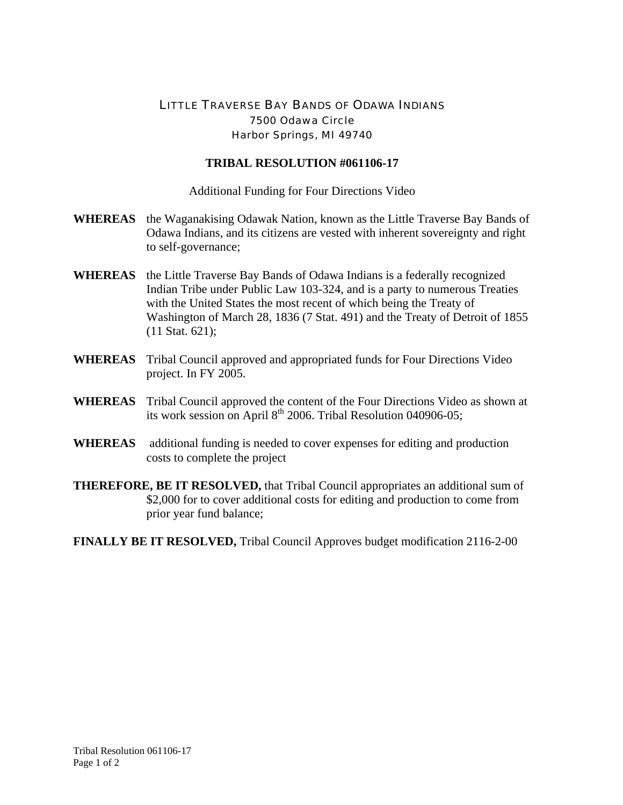## LITTLE TRAVERSE BAY BANDS OF ODAWA INDIANS 7500 Odawa Circle Harbor Springs, MI 49740

## **TRIBAL RESOLUTION #061106-17**

Additional Funding for Four Directions Video

- **WHEREAS** the Waganakising Odawak Nation, known as the Little Traverse Bay Bands of Odawa Indians, and its citizens are vested with inherent sovereignty and right to self-governance;
- **WHEREAS** the Little Traverse Bay Bands of Odawa Indians is a federally recognized Indian Tribe under Public Law 103-324, and is a party to numerous Treaties with the United States the most recent of which being the Treaty of Washington of March 28, 1836 (7 Stat. 491) and the Treaty of Detroit of 1855 (11 Stat. 621);
- **WHEREAS** Tribal Council approved and appropriated funds for Four Directions Video project. In FY 2005.
- **WHEREAS** Tribal Council approved the content of the Four Directions Video as shown at its work session on April  $8<sup>th</sup>$  2006. Tribal Resolution 040906-05;
- **WHEREAS** additional funding is needed to cover expenses for editing and production costs to complete the project
- **THEREFORE, BE IT RESOLVED,** that Tribal Council appropriates an additional sum of \$2,000 for to cover additional costs for editing and production to come from prior year fund balance;
- **FINALLY BE IT RESOLVED,** Tribal Council Approves budget modification 2116-2-00